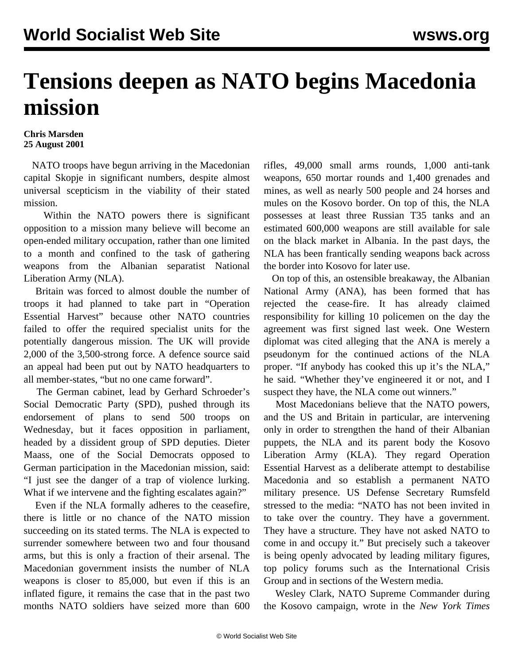## **Tensions deepen as NATO begins Macedonia mission**

## **Chris Marsden 25 August 2001**

 NATO troops have begun arriving in the Macedonian capital Skopje in significant numbers, despite almost universal scepticism in the viability of their stated mission.

 Within the NATO powers there is significant opposition to a mission many believe will become an open-ended military occupation, rather than one limited to a month and confined to the task of gathering weapons from the Albanian separatist National Liberation Army (NLA).

 Britain was forced to almost double the number of troops it had planned to take part in "Operation Essential Harvest" because other NATO countries failed to offer the required specialist units for the potentially dangerous mission. The UK will provide 2,000 of the 3,500-strong force. A defence source said an appeal had been put out by NATO headquarters to all member-states, "but no one came forward".

 The German cabinet, lead by Gerhard Schroeder's Social Democratic Party (SPD), pushed through its endorsement of plans to send 500 troops on Wednesday, but it faces opposition in parliament, headed by a dissident group of SPD deputies. Dieter Maass, one of the Social Democrats opposed to German participation in the Macedonian mission, said: "I just see the danger of a trap of violence lurking. What if we intervene and the fighting escalates again?"

 Even if the NLA formally adheres to the ceasefire, there is little or no chance of the NATO mission succeeding on its stated terms. The NLA is expected to surrender somewhere between two and four thousand arms, but this is only a fraction of their arsenal. The Macedonian government insists the number of NLA weapons is closer to 85,000, but even if this is an inflated figure, it remains the case that in the past two months NATO soldiers have seized more than 600 rifles, 49,000 small arms rounds, 1,000 anti-tank weapons, 650 mortar rounds and 1,400 grenades and mines, as well as nearly 500 people and 24 horses and mules on the Kosovo border. On top of this, the NLA possesses at least three Russian T35 tanks and an estimated 600,000 weapons are still available for sale on the black market in Albania. In the past days, the NLA has been frantically sending weapons back across the border into Kosovo for later use.

 On top of this, an ostensible breakaway, the Albanian National Army (ANA), has been formed that has rejected the cease-fire. It has already claimed responsibility for killing 10 policemen on the day the agreement was first signed last week. One Western diplomat was cited alleging that the ANA is merely a pseudonym for the continued actions of the NLA proper. "If anybody has cooked this up it's the NLA," he said. "Whether they've engineered it or not, and I suspect they have, the NLA come out winners."

 Most Macedonians believe that the NATO powers, and the US and Britain in particular, are intervening only in order to strengthen the hand of their Albanian puppets, the NLA and its parent body the Kosovo Liberation Army (KLA). They regard Operation Essential Harvest as a deliberate attempt to destabilise Macedonia and so establish a permanent NATO military presence. US Defense Secretary Rumsfeld stressed to the media: "NATO has not been invited in to take over the country. They have a government. They have a structure. They have not asked NATO to come in and occupy it." But precisely such a takeover is being openly advocated by leading military figures, top policy forums such as the International Crisis Group and in sections of the Western media.

 Wesley Clark, NATO Supreme Commander during the Kosovo campaign, wrote in the *New York Times*